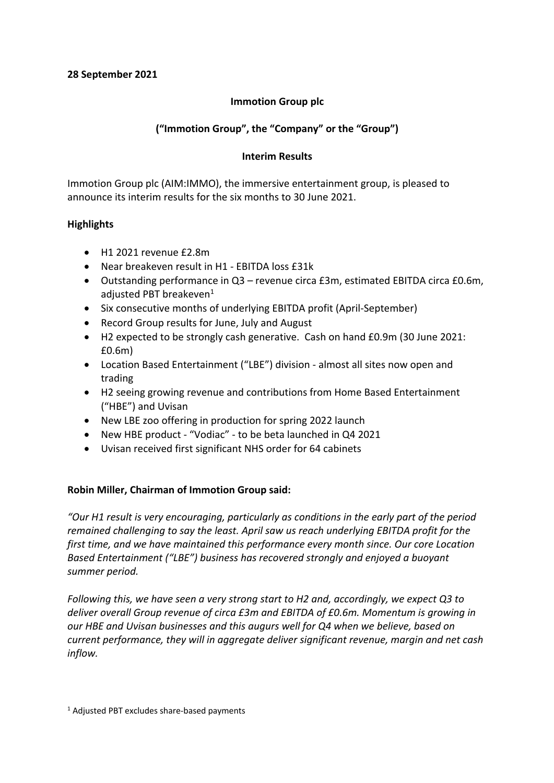# **Immotion Group plc**

# **("Immotion Group", the "Company" or the "Group")**

# **Interim Results**

Immotion Group plc (AIM:IMMO), the immersive entertainment group, is pleased to announce its interim results for the six months to 30 June 2021.

# **Highlights**

- H1 2021 revenue £2.8m
- Near breakeven result in H1 EBITDA loss £31k
- Outstanding performance in Q3 revenue circa £3m, estimated EBITDA circa £0.6m, adjusted PBT breakeven<sup>1</sup>
- Six consecutive months of underlying EBITDA profit (April-September)
- Record Group results for June, July and August
- H2 expected to be strongly cash generative. Cash on hand £0.9m (30 June 2021: £0.6m)
- Location Based Entertainment ("LBE") division almost all sites now open and trading
- H2 seeing growing revenue and contributions from Home Based Entertainment ("HBE") and Uvisan
- New LBE zoo offering in production for spring 2022 launch
- New HBE product "Vodiac" to be beta launched in Q4 2021
- Uvisan received first significant NHS order for 64 cabinets

# **Robin Miller, Chairman of Immotion Group said:**

*"Our H1 result is very encouraging, particularly as conditions in the early part of the period remained challenging to say the least. April saw us reach underlying EBITDA profit for the first time, and we have maintained this performance every month since. Our core Location Based Entertainment ("LBE") business has recovered strongly and enjoyed a buoyant summer period.*

*Following this, we have seen a very strong start to H2 and, accordingly, we expect Q3 to deliver overall Group revenue of circa £3m and EBITDA of £0.6m. Momentum is growing in our HBE and Uvisan businesses and this augurs well for Q4 when we believe, based on current performance, they will in aggregate deliver significant revenue, margin and net cash inflow.*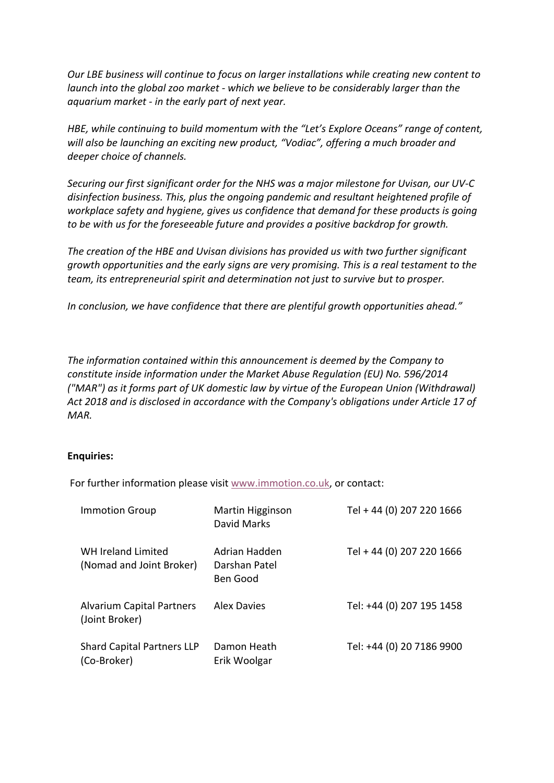*Our LBE business will continue to focus on larger installations while creating new content to launch into the global zoo market - which we believe to be considerably larger than the aquarium market - in the early part of next year.* 

*HBE, while continuing to build momentum with the "Let's Explore Oceans" range of content, will also be launching an exciting new product, "Vodiac", offering a much broader and deeper choice of channels.*

*Securing our first significant order for the NHS was a major milestone for Uvisan, our UV-C disinfection business. This, plus the ongoing pandemic and resultant heightened profile of workplace safety and hygiene, gives us confidence that demand for these products is going to be with us for the foreseeable future and provides a positive backdrop for growth.*

*The creation of the HBE and Uvisan divisions has provided us with two further significant growth opportunities and the early signs are very promising. This is a real testament to the team, its entrepreneurial spirit and determination not just to survive but to prosper.*

*In conclusion, we have confidence that there are plentiful growth opportunities ahead."*

*The information contained within this announcement is deemed by the Company to constitute inside information under the Market Abuse Regulation (EU) No. 596/2014 ("MAR") as it forms part of UK domestic law by virtue of the European Union (Withdrawal) Act 2018 and is disclosed in accordance with the Company's obligations under Article 17 of MAR.*

## **Enquiries:**

For further information please visit www.immotion.co.uk, or contact:

| <b>Immotion Group</b>                              | Martin Higginson<br>David Marks                   | Tel + 44 (0) 207 220 1666 |
|----------------------------------------------------|---------------------------------------------------|---------------------------|
| WH Ireland Limited<br>(Nomad and Joint Broker)     | Adrian Hadden<br>Darshan Patel<br><b>Ben Good</b> | Tel + 44 (0) 207 220 1666 |
| <b>Alvarium Capital Partners</b><br>(Joint Broker) | <b>Alex Davies</b>                                | Tel: +44 (0) 207 195 1458 |
| <b>Shard Capital Partners LLP</b><br>(Co-Broker)   | Damon Heath<br>Erik Woolgar                       | Tel: +44 (0) 20 7186 9900 |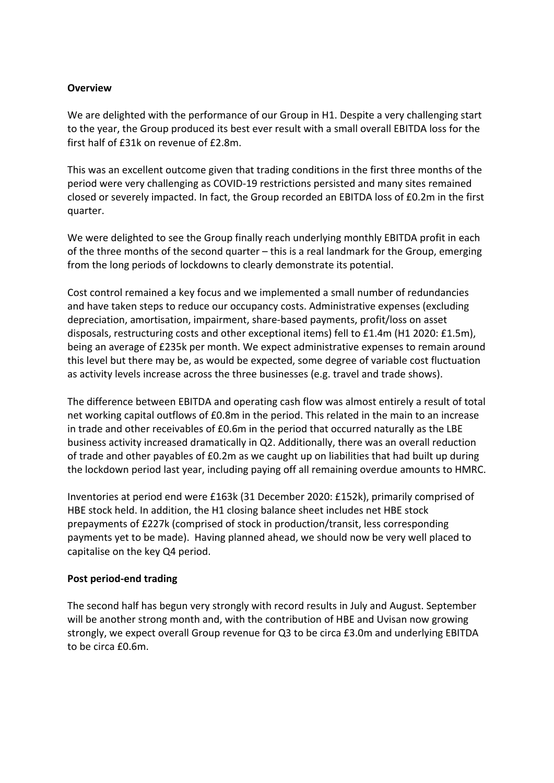# **Overview**

We are delighted with the performance of our Group in H1. Despite a very challenging start to the year, the Group produced its best ever result with a small overall EBITDA loss for the first half of £31k on revenue of £2.8m.

This was an excellent outcome given that trading conditions in the first three months of the period were very challenging as COVID-19 restrictions persisted and many sites remained closed or severely impacted. In fact, the Group recorded an EBITDA loss of £0.2m in the first quarter.

We were delighted to see the Group finally reach underlying monthly EBITDA profit in each of the three months of the second quarter – this is a real landmark for the Group, emerging from the long periods of lockdowns to clearly demonstrate its potential.

Cost control remained a key focus and we implemented a small number of redundancies and have taken steps to reduce our occupancy costs. Administrative expenses (excluding depreciation, amortisation, impairment, share-based payments, profit/loss on asset disposals, restructuring costs and other exceptional items) fell to £1.4m (H1 2020: £1.5m), being an average of £235k per month. We expect administrative expenses to remain around this level but there may be, as would be expected, some degree of variable cost fluctuation as activity levels increase across the three businesses (e.g. travel and trade shows).

The difference between EBITDA and operating cash flow was almost entirely a result of total net working capital outflows of £0.8m in the period. This related in the main to an increase in trade and other receivables of £0.6m in the period that occurred naturally as the LBE business activity increased dramatically in Q2. Additionally, there was an overall reduction of trade and other payables of £0.2m as we caught up on liabilities that had built up during the lockdown period last year, including paying off all remaining overdue amounts to HMRC.

Inventories at period end were £163k (31 December 2020: £152k), primarily comprised of HBE stock held. In addition, the H1 closing balance sheet includes net HBE stock prepayments of £227k (comprised of stock in production/transit, less corresponding payments yet to be made). Having planned ahead, we should now be very well placed to capitalise on the key Q4 period.

## **Post period-end trading**

The second half has begun very strongly with record results in July and August. September will be another strong month and, with the contribution of HBE and Uvisan now growing strongly, we expect overall Group revenue for Q3 to be circa £3.0m and underlying EBITDA to be circa £0.6m.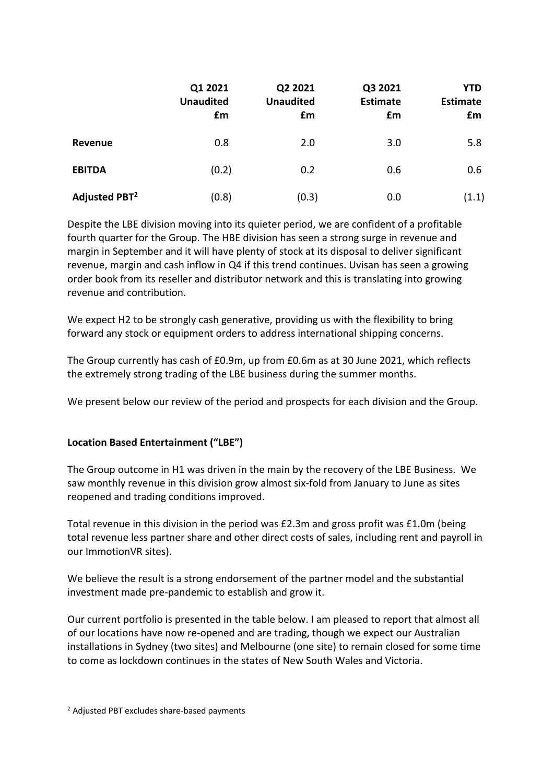|                           | Q1 2021<br><b>Unaudited</b><br>£m | Q2 2021<br><b>Unaudited</b><br>£m | Q3 2021<br><b>Estimate</b><br>£m | YTD<br><b>Estimate</b><br>£m |
|---------------------------|-----------------------------------|-----------------------------------|----------------------------------|------------------------------|
| Revenue                   | 0.8                               | 2.0                               | 3.0                              | 5.8                          |
| <b>EBITDA</b>             | (0.2)                             | 0.2                               | 0.6                              | 0.6                          |
| Adjusted PBT <sup>2</sup> | (0.8)                             | (0.3)                             | 0.0                              | (1.1)                        |

Despite the LBE division moving into its quieter period, we are confident of a profitable fourth quarter for the Group. The HBE division has seen a strong surge in revenue and margin in September and it will have plenty of stock at its disposal to deliver significant revenue, margin and cash inflow in Q4 if this trend continues. Uvisan has seen a growing order book from its reseller and distributor network and this is translating into growing revenue and contribution.

We expect H2 to be strongly cash generative, providing us with the flexibility to bring forward any stock or equipment orders to address international shipping concerns.

The Group currently has cash of £0.9m, up from £0.6m as at 30 June 2021, which reflects the extremely strong trading of the LBE business during the summer months.

We present below our review of the period and prospects for each division and the Group.

# **Location Based Entertainment ("LBE")**

The Group outcome in H1 was driven in the main by the recovery of the LBE Business. We saw monthly revenue in this division grow almost six-fold from January to June as sites reopened and trading conditions improved.

Total revenue in this division in the period was £2.3m and gross profit was £1.0m (being total revenue less partner share and other direct costs of sales, including rent and payroll in our ImmotionVR sites).

We believe the result is a strong endorsement of the partner model and the substantial investment made pre-pandemic to establish and grow it.

Our current portfolio is presented in the table below. I am pleased to report that almost all of our locations have now re-opened and are trading, though we expect our Australian installations in Sydney (two sites) and Melbourne (one site) to remain closed for some time to come as lockdown continues in the states of New South Wales and Victoria.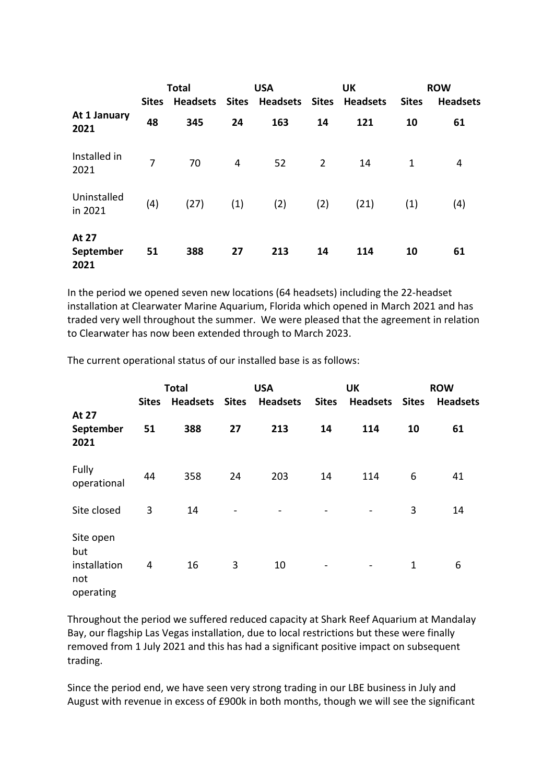|                            |                | <b>Total</b>    |              | <b>USA</b>            |                | <b>UK</b>       |              | <b>ROW</b>      |
|----------------------------|----------------|-----------------|--------------|-----------------------|----------------|-----------------|--------------|-----------------|
|                            | <b>Sites</b>   | <b>Headsets</b> | <b>Sites</b> | <b>Headsets Sites</b> |                | <b>Headsets</b> | <b>Sites</b> | <b>Headsets</b> |
| At 1 January<br>2021       | 48             | 345             | 24           | 163                   | 14             | 121             | 10           | 61              |
| Installed in<br>2021       | $\overline{7}$ | 70              | 4            | 52                    | $\overline{2}$ | 14              | 1            | 4               |
| Uninstalled<br>in 2021     | (4)            | (27)            | (1)          | (2)                   | (2)            | (21)            | (1)          | (4)             |
| At 27<br>September<br>2021 | 51             | 388             | 27           | 213                   | 14             | 114             | 10           | 61              |

In the period we opened seven new locations (64 headsets) including the 22-headset installation at Clearwater Marine Aquarium, Florida which opened in March 2021 and has traded very well throughout the summer. We were pleased that the agreement in relation to Clearwater has now been extended through to March 2023.

|                                                      | <b>Sites</b> | <b>Total</b><br><b>Headsets</b> | <b>Sites</b>             | <b>USA</b><br><b>Headsets</b> | <b>Sites</b> | <b>UK</b><br><b>Headsets</b> | <b>Sites</b> | <b>ROW</b><br><b>Headsets</b> |
|------------------------------------------------------|--------------|---------------------------------|--------------------------|-------------------------------|--------------|------------------------------|--------------|-------------------------------|
| At 27<br>September<br>2021                           | 51           | 388                             | 27                       | 213                           | 14           | 114                          | 10           | 61                            |
| Fully<br>operational                                 | 44           | 358                             | 24                       | 203                           | 14           | 114                          | 6            | 41                            |
| Site closed                                          | 3            | 14                              | $\overline{\phantom{m}}$ |                               |              | $\overline{\phantom{a}}$     | 3            | 14                            |
| Site open<br>but<br>installation<br>not<br>operating | 4            | 16                              | 3                        | 10                            | -            |                              | $\mathbf{1}$ | 6                             |

The current operational status of our installed base is as follows:

Throughout the period we suffered reduced capacity at Shark Reef Aquarium at Mandalay Bay, our flagship Las Vegas installation, due to local restrictions but these were finally removed from 1 July 2021 and this has had a significant positive impact on subsequent trading.

Since the period end, we have seen very strong trading in our LBE business in July and August with revenue in excess of £900k in both months, though we will see the significant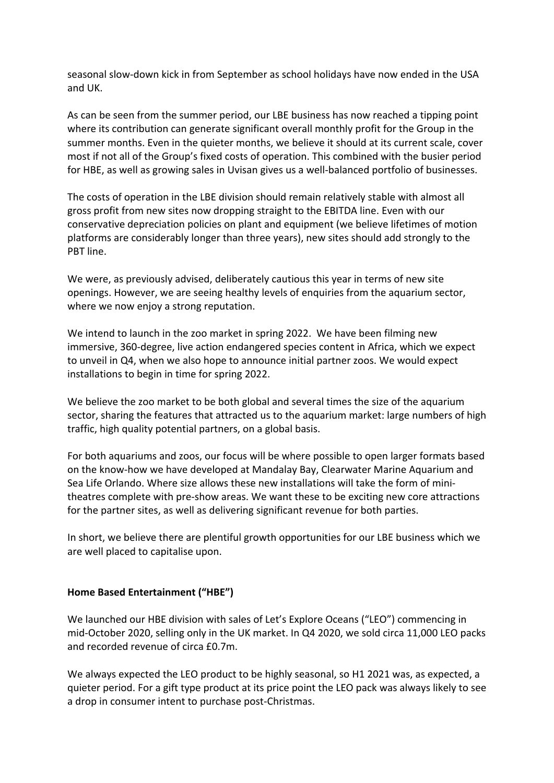seasonal slow-down kick in from September as school holidays have now ended in the USA and UK.

As can be seen from the summer period, our LBE business has now reached a tipping point where its contribution can generate significant overall monthly profit for the Group in the summer months. Even in the quieter months, we believe it should at its current scale, cover most if not all of the Group's fixed costs of operation. This combined with the busier period for HBE, as well as growing sales in Uvisan gives us a well-balanced portfolio of businesses.

The costs of operation in the LBE division should remain relatively stable with almost all gross profit from new sites now dropping straight to the EBITDA line. Even with our conservative depreciation policies on plant and equipment (we believe lifetimes of motion platforms are considerably longer than three years), new sites should add strongly to the PBT line.

We were, as previously advised, deliberately cautious this year in terms of new site openings. However, we are seeing healthy levels of enquiries from the aquarium sector, where we now enjoy a strong reputation.

We intend to launch in the zoo market in spring 2022. We have been filming new immersive, 360-degree, live action endangered species content in Africa, which we expect to unveil in Q4, when we also hope to announce initial partner zoos. We would expect installations to begin in time for spring 2022.

We believe the zoo market to be both global and several times the size of the aquarium sector, sharing the features that attracted us to the aquarium market: large numbers of high traffic, high quality potential partners, on a global basis.

For both aquariums and zoos, our focus will be where possible to open larger formats based on the know-how we have developed at Mandalay Bay, Clearwater Marine Aquarium and Sea Life Orlando. Where size allows these new installations will take the form of minitheatres complete with pre-show areas. We want these to be exciting new core attractions for the partner sites, as well as delivering significant revenue for both parties.

In short, we believe there are plentiful growth opportunities for our LBE business which we are well placed to capitalise upon.

## **Home Based Entertainment ("HBE")**

We launched our HBE division with sales of Let's Explore Oceans ("LEO") commencing in mid-October 2020, selling only in the UK market. In Q4 2020, we sold circa 11,000 LEO packs and recorded revenue of circa £0.7m.

We always expected the LEO product to be highly seasonal, so H1 2021 was, as expected, a quieter period. For a gift type product at its price point the LEO pack was always likely to see a drop in consumer intent to purchase post-Christmas.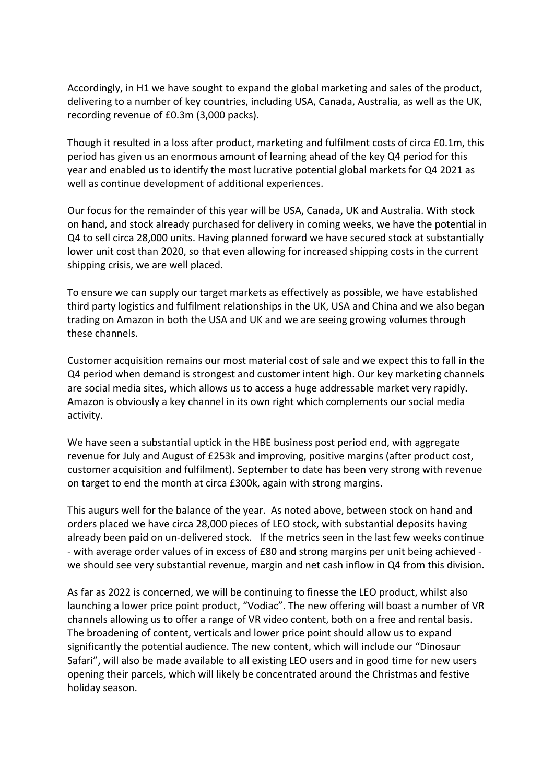Accordingly, in H1 we have sought to expand the global marketing and sales of the product, delivering to a number of key countries, including USA, Canada, Australia, as well as the UK, recording revenue of £0.3m (3,000 packs).

Though it resulted in a loss after product, marketing and fulfilment costs of circa £0.1m, this period has given us an enormous amount of learning ahead of the key Q4 period for this year and enabled us to identify the most lucrative potential global markets for Q4 2021 as well as continue development of additional experiences.

Our focus for the remainder of this year will be USA, Canada, UK and Australia. With stock on hand, and stock already purchased for delivery in coming weeks, we have the potential in Q4 to sell circa 28,000 units. Having planned forward we have secured stock at substantially lower unit cost than 2020, so that even allowing for increased shipping costs in the current shipping crisis, we are well placed.

To ensure we can supply our target markets as effectively as possible, we have established third party logistics and fulfilment relationships in the UK, USA and China and we also began trading on Amazon in both the USA and UK and we are seeing growing volumes through these channels.

Customer acquisition remains our most material cost of sale and we expect this to fall in the Q4 period when demand is strongest and customer intent high. Our key marketing channels are social media sites, which allows us to access a huge addressable market very rapidly. Amazon is obviously a key channel in its own right which complements our social media activity.

We have seen a substantial uptick in the HBE business post period end, with aggregate revenue for July and August of £253k and improving, positive margins (after product cost, customer acquisition and fulfilment). September to date has been very strong with revenue on target to end the month at circa £300k, again with strong margins.

This augurs well for the balance of the year. As noted above, between stock on hand and orders placed we have circa 28,000 pieces of LEO stock, with substantial deposits having already been paid on un-delivered stock. If the metrics seen in the last few weeks continue - with average order values of in excess of £80 and strong margins per unit being achieved we should see very substantial revenue, margin and net cash inflow in Q4 from this division.

As far as 2022 is concerned, we will be continuing to finesse the LEO product, whilst also launching a lower price point product, "Vodiac". The new offering will boast a number of VR channels allowing us to offer a range of VR video content, both on a free and rental basis. The broadening of content, verticals and lower price point should allow us to expand significantly the potential audience. The new content, which will include our "Dinosaur Safari", will also be made available to all existing LEO users and in good time for new users opening their parcels, which will likely be concentrated around the Christmas and festive holiday season.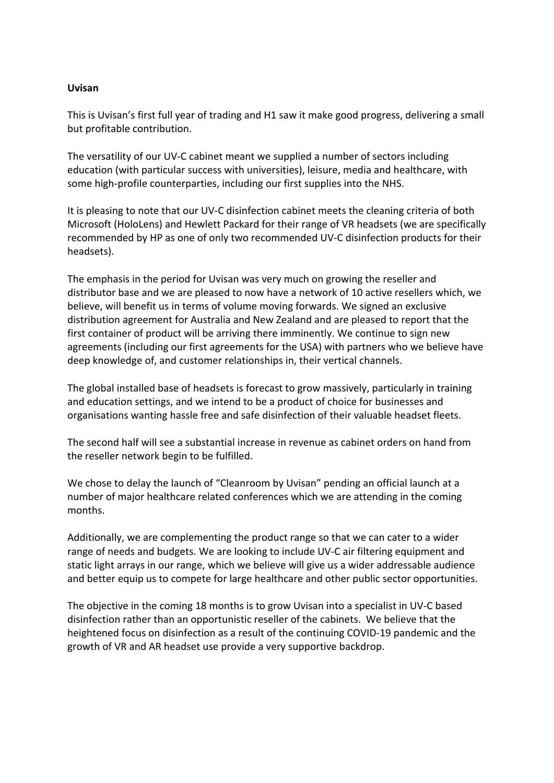## **Uvisan**

This is Uvisan's first full year of trading and H1 saw it make good progress, delivering a small but profitable contribution.

The versatility of our UV-C cabinet meant we supplied a number of sectors including education (with particular success with universities), leisure, media and healthcare, with some high-profile counterparties, including our first supplies into the NHS.

It is pleasing to note that our UV-C disinfection cabinet meets the cleaning criteria of both Microsoft (HoloLens) and Hewlett Packard for their range of VR headsets (we are specifically recommended by HP as one of only two recommended UV-C disinfection products for their headsets).

The emphasis in the period for Uvisan was very much on growing the reseller and distributor base and we are pleased to now have a network of 10 active resellers which, we believe, will benefit us in terms of volume moving forwards. We signed an exclusive distribution agreement for Australia and New Zealand and are pleased to report that the first container of product will be arriving there imminently. We continue to sign new agreements (including our first agreements for the USA) with partners who we believe have deep knowledge of, and customer relationships in, their vertical channels.

The global installed base of headsets is forecast to grow massively, particularly in training and education settings, and we intend to be a product of choice for businesses and organisations wanting hassle free and safe disinfection of their valuable headset fleets.

The second half will see a substantial increase in revenue as cabinet orders on hand from the reseller network begin to be fulfilled.

We chose to delay the launch of "Cleanroom by Uvisan" pending an official launch at a number of major healthcare related conferences which we are attending in the coming months.

Additionally, we are complementing the product range so that we can cater to a wider range of needs and budgets. We are looking to include UV-C air filtering equipment and static light arrays in our range, which we believe will give us a wider addressable audience and better equip us to compete for large healthcare and other public sector opportunities.

The objective in the coming 18 months is to grow Uvisan into a specialist in UV-C based disinfection rather than an opportunistic reseller of the cabinets. We believe that the heightened focus on disinfection as a result of the continuing COVID-19 pandemic and the growth of VR and AR headset use provide a very supportive backdrop.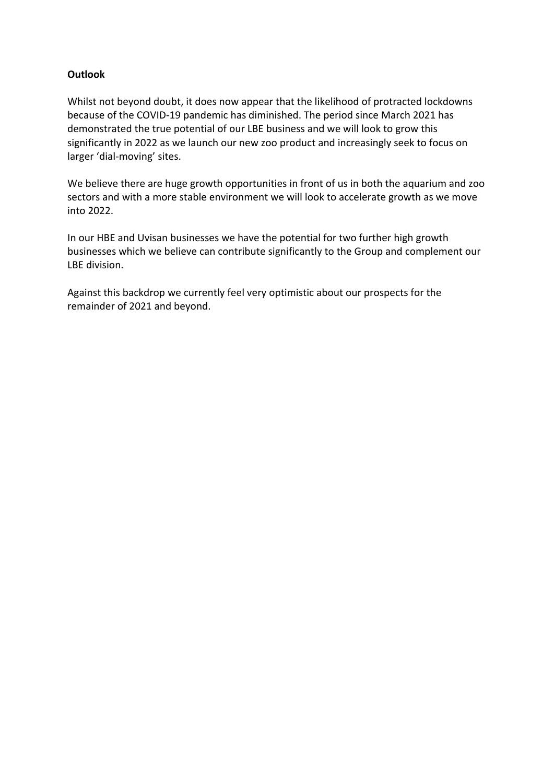# **Outlook**

Whilst not beyond doubt, it does now appear that the likelihood of protracted lockdowns because of the COVID-19 pandemic has diminished. The period since March 2021 has demonstrated the true potential of our LBE business and we will look to grow this significantly in 2022 as we launch our new zoo product and increasingly seek to focus on larger 'dial-moving' sites.

We believe there are huge growth opportunities in front of us in both the aquarium and zoo sectors and with a more stable environment we will look to accelerate growth as we move into 2022.

In our HBE and Uvisan businesses we have the potential for two further high growth businesses which we believe can contribute significantly to the Group and complement our LBE division.

Against this backdrop we currently feel very optimistic about our prospects for the remainder of 2021 and beyond.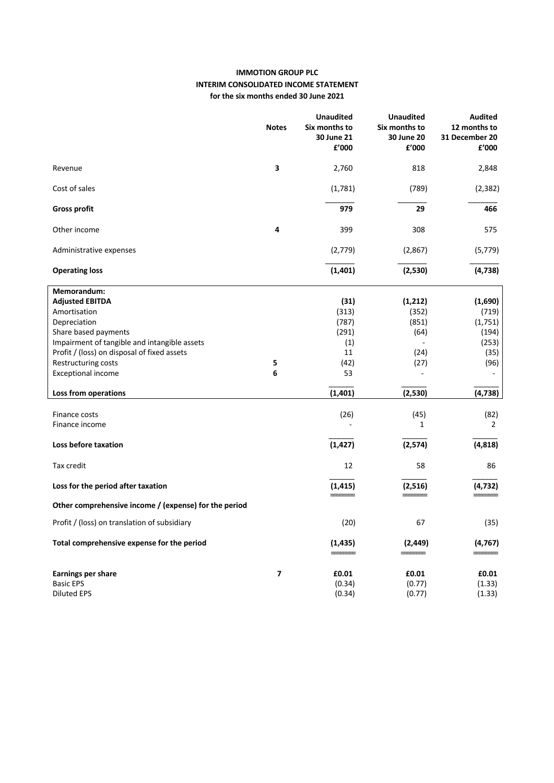## **IMMOTION GROUP PLC INTERIM CONSOLIDATED INCOME STATEMENT for the six months ended 30 June 2021**

|                                                       | <b>Notes</b> | <b>Unaudited</b><br>Six months to<br>30 June 21<br>f'000 | <b>Unaudited</b><br>Six months to<br>30 June 20<br>£'000 | <b>Audited</b><br>12 months to<br>31 December 20<br>£'000 |
|-------------------------------------------------------|--------------|----------------------------------------------------------|----------------------------------------------------------|-----------------------------------------------------------|
| Revenue                                               | 3            | 2,760                                                    | 818                                                      | 2,848                                                     |
| Cost of sales                                         |              | (1,781)                                                  | (789)                                                    | (2, 382)                                                  |
| <b>Gross profit</b>                                   |              | 979                                                      | 29                                                       | 466                                                       |
| Other income                                          | 4            | 399                                                      | 308                                                      | 575                                                       |
| Administrative expenses                               |              | (2,779)                                                  | (2,867)                                                  | (5, 779)                                                  |
| <b>Operating loss</b>                                 |              | (1, 401)                                                 | (2,530)                                                  | (4, 738)                                                  |
| Memorandum:                                           |              |                                                          |                                                          |                                                           |
| <b>Adjusted EBITDA</b>                                |              | (31)                                                     | (1, 212)                                                 | (1,690)                                                   |
| Amortisation                                          |              | (313)                                                    | (352)                                                    | (719)                                                     |
| Depreciation                                          |              | (787)                                                    | (851)                                                    | (1,751)                                                   |
| Share based payments                                  |              | (291)                                                    | (64)                                                     | (194)                                                     |
| Impairment of tangible and intangible assets          |              | (1)                                                      |                                                          | (253)                                                     |
| Profit / (loss) on disposal of fixed assets           |              | 11                                                       | (24)                                                     | (35)                                                      |
| Restructuring costs                                   | 5            | (42)                                                     | (27)                                                     | (96)                                                      |
| <b>Exceptional income</b>                             | 6            | 53                                                       | $\blacksquare$                                           |                                                           |
| Loss from operations                                  |              | (1,401)                                                  | (2,530)                                                  | (4, 738)                                                  |
| Finance costs                                         |              | (26)                                                     | (45)                                                     | (82)                                                      |
| Finance income                                        |              |                                                          | $\mathbf{1}$                                             | $\overline{2}$                                            |
| Loss before taxation                                  |              | (1, 427)                                                 | (2, 574)                                                 | (4,818)                                                   |
| Tax credit                                            |              | 12                                                       | 58                                                       | 86                                                        |
| Loss for the period after taxation                    |              | (1, 415)                                                 | (2,516)                                                  | (4, 732)                                                  |
| Other comprehensive income / (expense) for the period |              |                                                          |                                                          |                                                           |
| Profit / (loss) on translation of subsidiary          |              | (20)                                                     | 67                                                       | (35)                                                      |
| Total comprehensive expense for the period            |              | (1, 435)                                                 | (2, 449)                                                 | (4, 767)                                                  |
| <b>Earnings per share</b>                             | 7            | £0.01                                                    | £0.01                                                    | £0.01                                                     |
| <b>Basic EPS</b>                                      |              | (0.34)                                                   | (0.77)                                                   | (1.33)                                                    |
| <b>Diluted EPS</b>                                    |              | (0.34)                                                   | (0.77)                                                   | (1.33)                                                    |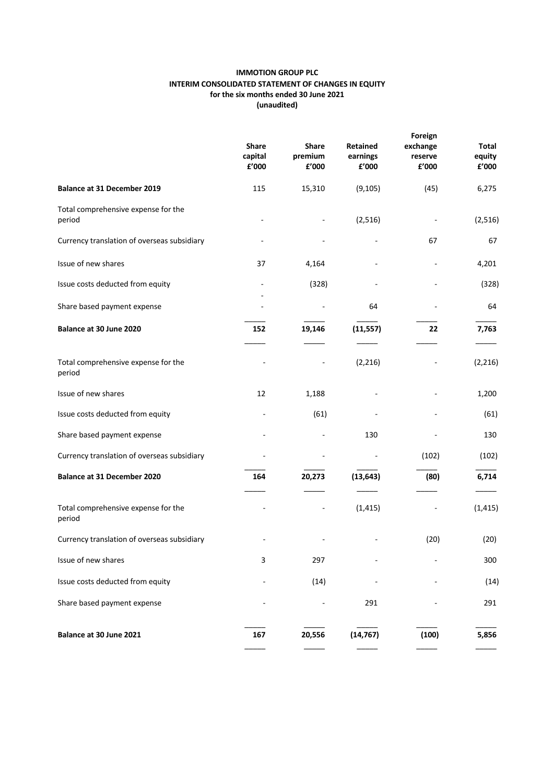### **IMMOTION GROUP PLC INTERIM CONSOLIDATED STATEMENT OF CHANGES IN EQUITY for the six months ended 30 June 2021 (unaudited)**

|                                               | <b>Share</b><br>capital<br>£'000 | <b>Share</b><br>premium<br>£'000 | Retained<br>earnings<br>£'000 | Foreign<br>exchange<br>reserve<br>£'000 | Total<br>equity<br>£'000 |
|-----------------------------------------------|----------------------------------|----------------------------------|-------------------------------|-----------------------------------------|--------------------------|
| <b>Balance at 31 December 2019</b>            | 115                              | 15,310                           | (9, 105)                      | (45)                                    | 6,275                    |
| Total comprehensive expense for the<br>period |                                  |                                  | (2,516)                       |                                         | (2,516)                  |
| Currency translation of overseas subsidiary   |                                  |                                  |                               | 67                                      | 67                       |
| Issue of new shares                           | 37                               | 4,164                            |                               |                                         | 4,201                    |
| Issue costs deducted from equity              |                                  | (328)                            |                               |                                         | (328)                    |
| Share based payment expense                   |                                  |                                  | 64                            |                                         | 64                       |
| Balance at 30 June 2020                       | 152                              | 19,146                           | (11, 557)                     | 22                                      | 7,763                    |
| Total comprehensive expense for the<br>period |                                  |                                  | (2, 216)                      |                                         | (2, 216)                 |
| Issue of new shares                           | 12                               | 1,188                            |                               |                                         | 1,200                    |
| Issue costs deducted from equity              |                                  | (61)                             |                               |                                         | (61)                     |
| Share based payment expense                   |                                  |                                  | 130                           |                                         | 130                      |
| Currency translation of overseas subsidiary   |                                  |                                  |                               | (102)                                   | (102)                    |
| Balance at 31 December 2020                   | 164                              | 20,273                           | (13, 643)                     | (80)                                    | 6,714                    |
| Total comprehensive expense for the<br>period |                                  |                                  | (1, 415)                      |                                         | (1, 415)                 |
| Currency translation of overseas subsidiary   |                                  |                                  |                               | (20)                                    | (20)                     |
| Issue of new shares                           | 3                                | 297                              |                               |                                         | 300                      |
| Issue costs deducted from equity              |                                  | (14)                             |                               |                                         | (14)                     |
| Share based payment expense                   |                                  |                                  | 291                           |                                         | 291                      |
| Balance at 30 June 2021                       | 167                              | 20,556                           | (14, 767)                     | (100)                                   | 5,856                    |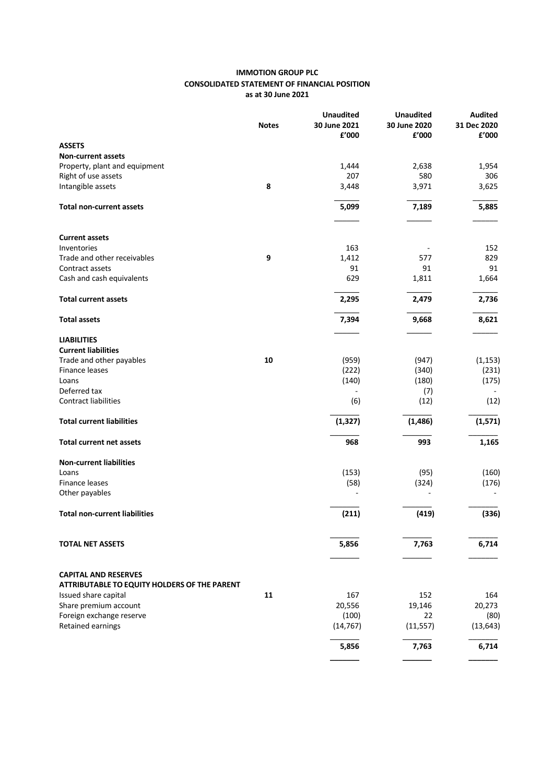### **IMMOTION GROUP PLC CONSOLIDATED STATEMENT OF FINANCIAL POSITION as at 30 June 2021**

|                                                                             | <b>Notes</b> | <b>Unaudited</b><br>30 June 2021<br>£'000 | <b>Unaudited</b><br>30 June 2020<br>£'000 | Audited<br>31 Dec 2020<br>£'000 |
|-----------------------------------------------------------------------------|--------------|-------------------------------------------|-------------------------------------------|---------------------------------|
| <b>ASSETS</b>                                                               |              |                                           |                                           |                                 |
| <b>Non-current assets</b>                                                   |              |                                           |                                           |                                 |
| Property, plant and equipment                                               |              | 1,444                                     | 2,638                                     | 1,954                           |
| Right of use assets                                                         |              | 207                                       | 580                                       | 306                             |
| Intangible assets                                                           | 8            | 3,448                                     | 3,971                                     | 3,625                           |
| <b>Total non-current assets</b>                                             |              | 5,099                                     | 7,189                                     | 5,885                           |
| <b>Current assets</b>                                                       |              |                                           |                                           |                                 |
| Inventories                                                                 |              | 163                                       |                                           | 152                             |
| Trade and other receivables                                                 | 9            | 1,412                                     | 577                                       | 829                             |
| Contract assets                                                             |              | 91                                        | 91                                        | 91                              |
| Cash and cash equivalents                                                   |              | 629                                       | 1,811                                     | 1,664                           |
| <b>Total current assets</b>                                                 |              | 2,295                                     | 2,479                                     | 2,736                           |
| <b>Total assets</b>                                                         |              | 7,394                                     | 9,668                                     | 8,621                           |
| <b>LIABILITIES</b>                                                          |              |                                           |                                           |                                 |
| <b>Current liabilities</b>                                                  |              |                                           |                                           |                                 |
| Trade and other payables                                                    | 10           | (959)                                     | (947)                                     | (1, 153)                        |
| Finance leases                                                              |              | (222)                                     | (340)                                     | (231)                           |
| Loans                                                                       |              | (140)                                     | (180)                                     | (175)                           |
| Deferred tax                                                                |              |                                           | (7)                                       |                                 |
| Contract liabilities                                                        |              | (6)                                       | (12)                                      | (12)                            |
| <b>Total current liabilities</b>                                            |              | (1, 327)                                  | (1, 486)                                  | (1, 571)                        |
| <b>Total current net assets</b>                                             |              | 968                                       | 993                                       | 1,165                           |
| <b>Non-current liabilities</b>                                              |              |                                           |                                           |                                 |
| Loans                                                                       |              | (153)                                     | (95)                                      | (160)                           |
| <b>Finance leases</b>                                                       |              | (58)                                      | (324)                                     | (176)                           |
| Other payables                                                              |              |                                           |                                           |                                 |
| <b>Total non-current liabilities</b>                                        |              | (211)                                     | (419)                                     | (336)                           |
|                                                                             |              |                                           |                                           |                                 |
| <b>TOTAL NET ASSETS</b>                                                     |              | 5,856                                     | 7,763                                     | 6,714                           |
|                                                                             |              |                                           |                                           |                                 |
| <b>CAPITAL AND RESERVES</b><br>ATTRIBUTABLE TO EQUITY HOLDERS OF THE PARENT |              |                                           |                                           |                                 |
| Issued share capital                                                        | 11           | 167                                       | 152                                       | 164                             |
| Share premium account                                                       |              | 20,556                                    | 19,146                                    | 20,273                          |
| Foreign exchange reserve                                                    |              | (100)                                     | 22                                        | (80)                            |
| Retained earnings                                                           |              | (14, 767)                                 | (11, 557)                                 | (13, 643)                       |
|                                                                             |              | 5,856                                     | 7,763                                     | 6,714                           |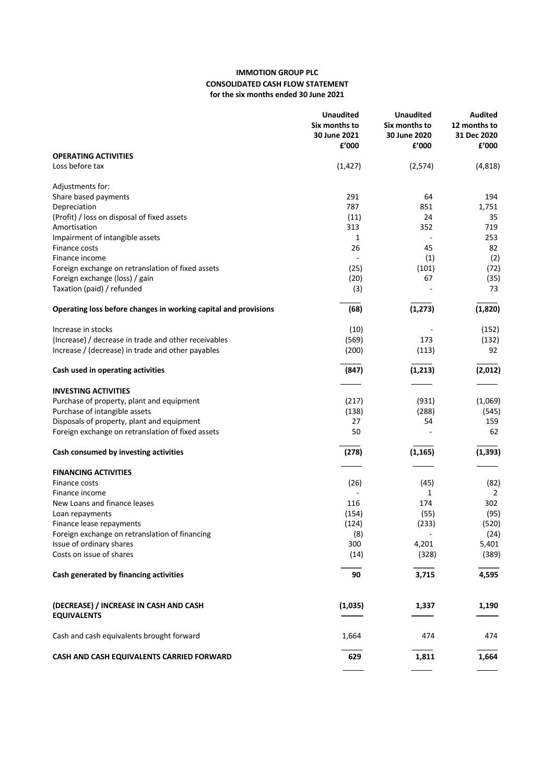## **IMMOTION GROUP PLC CONSOLIDATED CASH FLOW STATEMENT for the six months ended 30 June 2021**

|                                                                            | <b>Unaudited</b><br>Six months to<br>30 June 2021<br>£'000 | <b>Unaudited</b><br>Six months to<br>30 June 2020<br>£'000 | <b>Audited</b><br>12 months to<br>31 Dec 2020<br>£'000 |
|----------------------------------------------------------------------------|------------------------------------------------------------|------------------------------------------------------------|--------------------------------------------------------|
| <b>OPERATING ACTIVITIES</b>                                                |                                                            |                                                            |                                                        |
| Loss before tax                                                            | (1, 427)                                                   | (2,574)                                                    | (4, 818)                                               |
| Adjustments for:                                                           |                                                            |                                                            |                                                        |
| Share based payments                                                       | 291                                                        | 64                                                         | 194                                                    |
| Depreciation                                                               | 787                                                        | 851                                                        | 1,751                                                  |
| (Profit) / loss on disposal of fixed assets                                | (11)                                                       | 24                                                         | 35                                                     |
| Amortisation                                                               | 313<br>1                                                   | 352<br>$\sim$                                              | 719<br>253                                             |
| Impairment of intangible assets<br>Finance costs                           | 26                                                         | 45                                                         | 82                                                     |
| Finance income                                                             | ÷,                                                         | (1)                                                        | (2)                                                    |
| Foreign exchange on retranslation of fixed assets                          | (25)                                                       | (101)                                                      | (72)                                                   |
| Foreign exchange (loss) / gain                                             | (20)                                                       | 67                                                         | (35)                                                   |
| Taxation (paid) / refunded                                                 | (3)                                                        |                                                            | 73                                                     |
| Operating loss before changes in working capital and provisions            | (68)                                                       | (1, 273)                                                   | (1,820)                                                |
| Increase in stocks                                                         | (10)                                                       |                                                            | (152)                                                  |
| (Increase) / decrease in trade and other receivables                       | (569)                                                      | 173                                                        | (132)                                                  |
| Increase / (decrease) in trade and other payables                          | (200)                                                      | (113)                                                      | 92                                                     |
| Cash used in operating activities                                          | (847)                                                      | (1, 213)                                                   | (2,012)                                                |
|                                                                            |                                                            |                                                            |                                                        |
| <b>INVESTING ACTIVITIES</b><br>Purchase of property, plant and equipment   | (217)                                                      | (931)                                                      | (1,069)                                                |
| Purchase of intangible assets                                              | (138)                                                      | (288)                                                      | (545)                                                  |
| Disposals of property, plant and equipment                                 | 27                                                         | 54                                                         | 159                                                    |
| Foreign exchange on retranslation of fixed assets                          | 50                                                         |                                                            | 62                                                     |
| Cash consumed by investing activities                                      | (278)                                                      | (1, 165)                                                   | (1, 393)                                               |
| <b>FINANCING ACTIVITIES</b>                                                |                                                            |                                                            |                                                        |
| Finance costs                                                              | (26)                                                       | (45)                                                       | (82)                                                   |
| Finance income                                                             |                                                            | 1                                                          | 2                                                      |
| New Loans and finance leases                                               | 116                                                        | 174                                                        | 302                                                    |
| Loan repayments                                                            | (154)                                                      | (55)                                                       | (95)                                                   |
| Finance lease repayments                                                   | (124)                                                      | (233)                                                      | (520)                                                  |
| Foreign exchange on retranslation of financing<br>Issue of ordinary shares | (8)<br>300                                                 | 4,201                                                      | (24)<br>5,401                                          |
| Costs on issue of shares                                                   | (14)                                                       | (328)                                                      | (389)                                                  |
| Cash generated by financing activities                                     | 90                                                         | 3,715                                                      | 4,595                                                  |
|                                                                            |                                                            |                                                            |                                                        |
| (DECREASE) / INCREASE IN CASH AND CASH<br><b>EQUIVALENTS</b>               | (1,035)                                                    | 1,337                                                      | 1,190                                                  |
| Cash and cash equivalents brought forward                                  | 1,664                                                      | 474                                                        | 474                                                    |
|                                                                            |                                                            |                                                            |                                                        |
| CASH AND CASH EQUIVALENTS CARRIED FORWARD                                  | 629                                                        | 1,811                                                      | 1,664                                                  |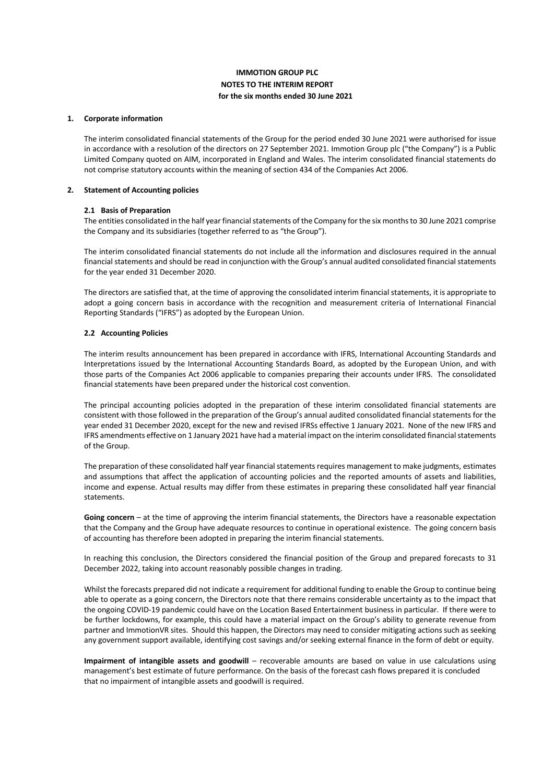### **IMMOTION GROUP PLC NOTES TO THE INTERIM REPORT for the six months ended 30 June 2021**

#### **1. Corporate information**

The interim consolidated financial statements of the Group for the period ended 30 June 2021 were authorised for issue in accordance with a resolution of the directors on 27 September 2021. Immotion Group plc ("the Company") is a Public Limited Company quoted on AIM, incorporated in England and Wales. The interim consolidated financial statements do not comprise statutory accounts within the meaning of section 434 of the Companies Act 2006.

#### **2. Statement of Accounting policies**

#### **2.1 Basis of Preparation**

The entities consolidated in the half year financial statements of the Company for the six months to 30 June 2021 comprise the Company and its subsidiaries (together referred to as "the Group").

The interim consolidated financial statements do not include all the information and disclosures required in the annual financial statements and should be read in conjunction with the Group's annual audited consolidated financial statements for the year ended 31 December 2020.

The directors are satisfied that, at the time of approving the consolidated interim financial statements, it is appropriate to adopt a going concern basis in accordance with the recognition and measurement criteria of International Financial Reporting Standards ("IFRS") as adopted by the European Union.

#### **2.2 Accounting Policies**

The interim results announcement has been prepared in accordance with IFRS, International Accounting Standards and Interpretations issued by the International Accounting Standards Board, as adopted by the European Union, and with those parts of the Companies Act 2006 applicable to companies preparing their accounts under IFRS. The consolidated financial statements have been prepared under the historical cost convention.

The principal accounting policies adopted in the preparation of these interim consolidated financial statements are consistent with those followed in the preparation of the Group's annual audited consolidated financial statements for the year ended 31 December 2020, except for the new and revised IFRSs effective 1 January 2021. None of the new IFRS and IFRS amendments effective on 1 January 2021 have had a material impact on the interim consolidated financial statements of the Group.

The preparation of these consolidated half year financial statements requires management to make judgments, estimates and assumptions that affect the application of accounting policies and the reported amounts of assets and liabilities, income and expense. Actual results may differ from these estimates in preparing these consolidated half year financial statements.

Going concern – at the time of approving the interim financial statements, the Directors have a reasonable expectation that the Company and the Group have adequate resources to continue in operational existence. The going concern basis of accounting has therefore been adopted in preparing the interim financial statements.

In reaching this conclusion, the Directors considered the financial position of the Group and prepared forecasts to 31 December 2022, taking into account reasonably possible changes in trading.

Whilst the forecasts prepared did not indicate a requirement for additional funding to enable the Group to continue being able to operate as a going concern, the Directors note that there remains considerable uncertainty as to the impact that the ongoing COVID-19 pandemic could have on the Location Based Entertainment business in particular. If there were to be further lockdowns, for example, this could have a material impact on the Group's ability to generate revenue from partner and ImmotionVR sites. Should this happen, the Directors may need to consider mitigating actions such as seeking any government support available, identifying cost savings and/or seeking external finance in the form of debt or equity.

**Impairment of intangible assets and goodwill** – recoverable amounts are based on value in use calculations using management's best estimate of future performance. On the basis of the forecast cash flows prepared it is concluded that no impairment of intangible assets and goodwill is required.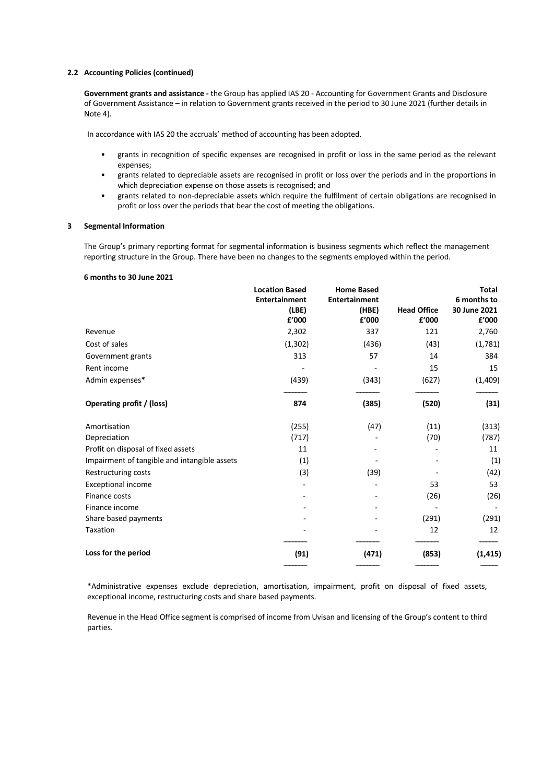#### **2.2 Accounting Policies (continued)**

**Government grants and assistance -** the Group has applied IAS 20 - Accounting for Government Grants and Disclosure of Government Assistance – in relation to Government grants received in the period to 30 June 2021 (further details in Note 4).

In accordance with IAS 20 the accruals' method of accounting has been adopted.

- grants in recognition of specific expenses are recognised in profit or loss in the same period as the relevant expenses;
- grants related to depreciable assets are recognised in profit or loss over the periods and in the proportions in which depreciation expense on those assets is recognised; and
- grants related to non-depreciable assets which require the fulfilment of certain obligations are recognised in profit or loss over the periods that bear the cost of meeting the obligations.

#### **3 Segmental Information**

The Group's primary reporting format for segmental information is business segments which reflect the management reporting structure in the Group. There have been no changes to the segments employed within the period.

#### **6 months to 30 June 2021**

|                                              | <b>Location Based</b><br><b>Entertainment</b><br>(LBE)<br>£'000 | <b>Home Based</b><br><b>Entertainment</b><br>(HBE)<br>£'000 | <b>Head Office</b><br>£'000 | <b>Total</b><br>6 months to<br>30 June 2021<br>£'000 |
|----------------------------------------------|-----------------------------------------------------------------|-------------------------------------------------------------|-----------------------------|------------------------------------------------------|
| Revenue                                      | 2,302                                                           | 337                                                         | 121                         | 2,760                                                |
| Cost of sales                                | (1, 302)                                                        | (436)                                                       | (43)                        | (1,781)                                              |
| Government grants                            | 313                                                             | 57                                                          | 14                          | 384                                                  |
| Rent income                                  |                                                                 |                                                             | 15                          | 15                                                   |
| Admin expenses*                              | (439)                                                           | (343)                                                       | (627)                       | (1,409)                                              |
| Operating profit / (loss)                    | 874                                                             | (385)                                                       | (520)                       | (31)                                                 |
| Amortisation                                 | (255)                                                           | (47)                                                        | (11)                        | (313)                                                |
| Depreciation                                 | (717)                                                           |                                                             | (70)                        | (787)                                                |
| Profit on disposal of fixed assets           | 11                                                              |                                                             |                             | 11                                                   |
| Impairment of tangible and intangible assets | (1)                                                             |                                                             |                             | (1)                                                  |
| Restructuring costs                          | (3)                                                             | (39)                                                        |                             | (42)                                                 |
| <b>Exceptional income</b>                    |                                                                 |                                                             | 53                          | 53                                                   |
| Finance costs                                |                                                                 |                                                             | (26)                        | (26)                                                 |
| Finance income                               |                                                                 |                                                             |                             |                                                      |
| Share based payments                         |                                                                 |                                                             | (291)                       | (291)                                                |
| Taxation                                     |                                                                 |                                                             | 12                          | 12                                                   |
| Loss for the period                          | (91)                                                            | (471)                                                       | (853)                       | (1, 415)                                             |

\*Administrative expenses exclude depreciation, amortisation, impairment, profit on disposal of fixed assets, exceptional income, restructuring costs and share based payments.

Revenue in the Head Office segment is comprised of income from Uvisan and licensing of the Group's content to third parties.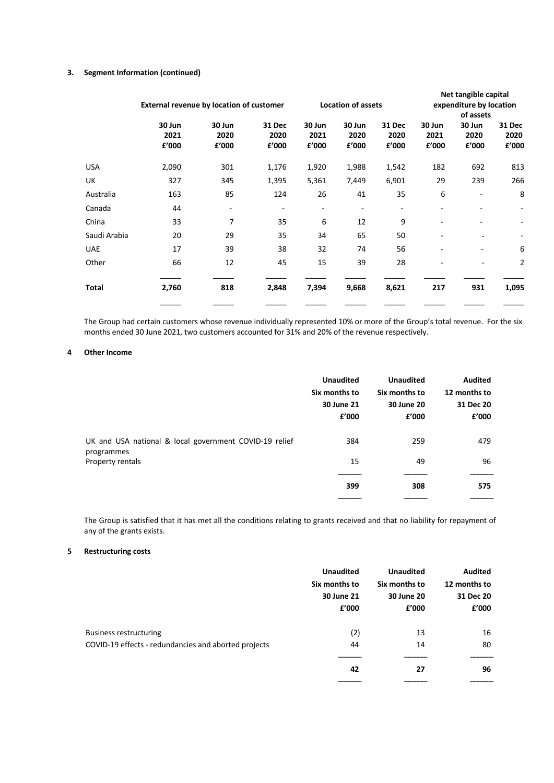### **3. Segment Information (continued)**

|              | External revenue by location of customer |                         | <b>Location of assets</b> |                         |                         | Net tangible capital<br>expenditure by location<br>of assets |                         |                          |                          |
|--------------|------------------------------------------|-------------------------|---------------------------|-------------------------|-------------------------|--------------------------------------------------------------|-------------------------|--------------------------|--------------------------|
|              | 30 Jun<br>2021<br>£'000                  | 30 Jun<br>2020<br>£'000 | 31 Dec<br>2020<br>£'000   | 30 Jun<br>2021<br>f'000 | 30 Jun<br>2020<br>f'000 | <b>31 Dec</b><br>2020<br>£'000                               | 30 Jun<br>2021<br>£'000 | 30 Jun<br>2020<br>£'000  | 31 Dec<br>2020<br>£'000  |
| USA          | 2,090                                    | 301                     | 1,176                     | 1,920                   | 1,988                   | 1,542                                                        | 182                     | 692                      | 813                      |
| UK           | 327                                      | 345                     | 1,395                     | 5,361                   | 7,449                   | 6,901                                                        | 29                      | 239                      | 266                      |
| Australia    | 163                                      | 85                      | 124                       | 26                      | 41                      | 35                                                           | 6                       |                          | 8                        |
| Canada       | 44                                       | -                       | ۰                         | ۰                       | ۰                       |                                                              |                         |                          |                          |
| China        | 33                                       | 7                       | 35                        | 6                       | 12                      | 9                                                            |                         |                          | $\overline{\phantom{0}}$ |
| Saudi Arabia | 20                                       | 29                      | 35                        | 34                      | 65                      | 50                                                           |                         | $\overline{\phantom{a}}$ |                          |
| <b>UAE</b>   | 17                                       | 39                      | 38                        | 32                      | 74                      | 56                                                           | ۰                       |                          | 6                        |
| Other        | 66                                       | 12                      | 45                        | 15                      | 39                      | 28                                                           | ۰                       |                          | 2                        |
| Total        | 2,760                                    | 818                     | 2,848                     | 7,394                   | 9,668                   | 8,621                                                        | 217                     | 931                      | 1,095                    |
|              |                                          |                         |                           |                         |                         |                                                              |                         |                          |                          |

The Group had certain customers whose revenue individually represented 10% or more of the Group's total revenue. For the six months ended 30 June 2021, two customers accounted for 31% and 20% of the revenue respectively.

#### **4 Other Income**

|                                                        | <b>Unaudited</b><br>Six months to<br>30 June 21<br>£'000 | <b>Unaudited</b><br>Six months to<br>30 June 20<br>£'000 | <b>Audited</b><br>12 months to<br>31 Dec 20<br>£'000 |
|--------------------------------------------------------|----------------------------------------------------------|----------------------------------------------------------|------------------------------------------------------|
| UK and USA national & local government COVID-19 relief | 384                                                      | 259                                                      | 479                                                  |
| programmes<br>Property rentals                         | 15                                                       | 49                                                       | 96                                                   |
|                                                        | 399                                                      | 308                                                      | 575                                                  |
|                                                        |                                                          |                                                          |                                                      |

The Group is satisfied that it has met all the conditions relating to grants received and that no liability for repayment of any of the grants exists.

### **5 Restructuring costs**

|                                                      | <b>Unaudited</b><br>Six months to<br>30 June 21<br>f'000 | <b>Unaudited</b><br>Six months to<br>30 June 20<br>£'000 | <b>Audited</b><br>12 months to<br>31 Dec 20<br>£'000 |
|------------------------------------------------------|----------------------------------------------------------|----------------------------------------------------------|------------------------------------------------------|
| Business restructuring                               | (2)                                                      | 13                                                       | 16                                                   |
| COVID-19 effects - redundancies and aborted projects | 44                                                       | 14                                                       | 80                                                   |
|                                                      | 42                                                       | 27                                                       | 96                                                   |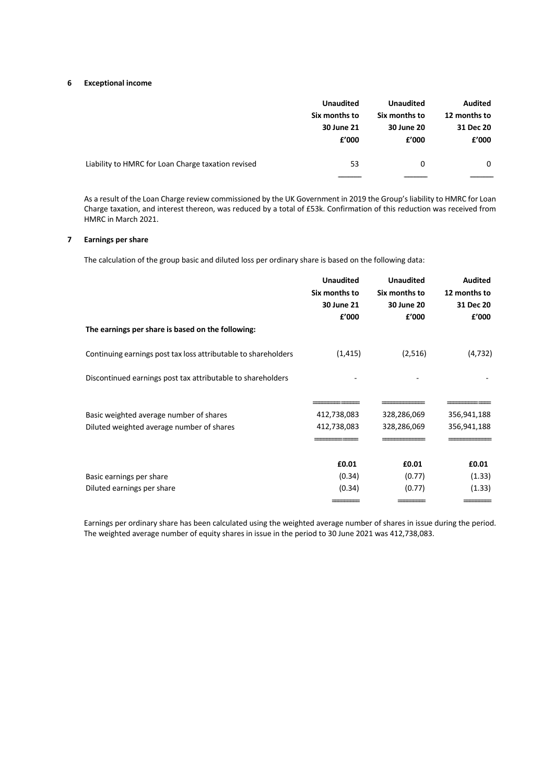#### **6 Exceptional income**

|                                                    | <b>Unaudited</b> | <b>Unaudited</b> | <b>Audited</b> |
|----------------------------------------------------|------------------|------------------|----------------|
|                                                    | Six months to    | Six months to    | 12 months to   |
|                                                    | 30 June 21       | 30 June 20       | 31 Dec 20      |
|                                                    | f'000            | f'000            | £'000          |
| Liability to HMRC for Loan Charge taxation revised | 53               | 0                | 0              |

As a result of the Loan Charge review commissioned by the UK Government in 2019 the Group's liability to HMRC for Loan Charge taxation, and interest thereon, was reduced by a total of £53k. Confirmation of this reduction was received from HMRC in March 2021.

## **7 Earnings per share**

The calculation of the group basic and diluted loss per ordinary share is based on the following data:

|                                                                | <b>Unaudited</b> | <b>Unaudited</b> | <b>Audited</b> |
|----------------------------------------------------------------|------------------|------------------|----------------|
|                                                                | Six months to    | Six months to    | 12 months to   |
|                                                                | 30 June 21       | 30 June 20       | 31 Dec 20      |
|                                                                | f'000            | £'000            | £'000          |
| The earnings per share is based on the following:              |                  |                  |                |
| Continuing earnings post tax loss attributable to shareholders | (1, 415)         | (2,516)          | (4, 732)       |
| Discontinued earnings post tax attributable to shareholders    |                  |                  |                |
|                                                                |                  |                  |                |
| Basic weighted average number of shares                        | 412,738,083      | 328,286,069      | 356,941,188    |
| Diluted weighted average number of shares                      | 412,738,083      | 328,286,069      | 356,941,188    |
|                                                                |                  |                  |                |
|                                                                | £0.01            | £0.01            | £0.01          |
| Basic earnings per share                                       | (0.34)           | (0.77)           | (1.33)         |
| Diluted earnings per share                                     | (0.34)           | (0.77)           | (1.33)         |
|                                                                |                  |                  |                |

Earnings per ordinary share has been calculated using the weighted average number of shares in issue during the period. The weighted average number of equity shares in issue in the period to 30 June 2021 was 412,738,083.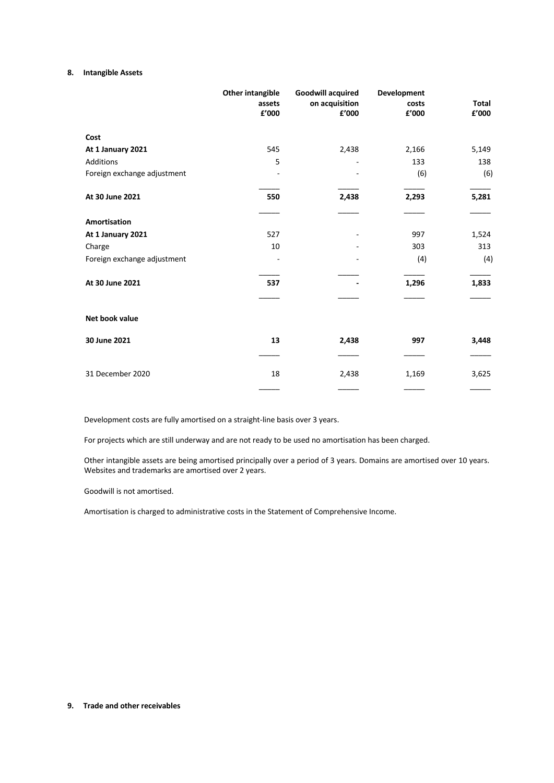#### **8. Intangible Assets**

|                             | <b>Other intangible</b><br>assets<br>£'000 | <b>Goodwill acquired</b><br>on acquisition<br>£'000 | <b>Development</b><br>costs<br>£'000 | <b>Total</b><br>£'000 |
|-----------------------------|--------------------------------------------|-----------------------------------------------------|--------------------------------------|-----------------------|
| Cost                        |                                            |                                                     |                                      |                       |
| At 1 January 2021           | 545                                        | 2,438                                               | 2,166                                | 5,149                 |
| Additions                   | 5                                          |                                                     | 133                                  | 138                   |
| Foreign exchange adjustment |                                            |                                                     | (6)                                  | (6)                   |
| At 30 June 2021             | 550                                        | 2,438                                               | 2,293                                | 5,281                 |
| <b>Amortisation</b>         |                                            |                                                     |                                      |                       |
| At 1 January 2021           | 527                                        |                                                     | 997                                  | 1,524                 |
| Charge                      | 10                                         |                                                     | 303                                  | 313                   |
| Foreign exchange adjustment |                                            |                                                     | (4)                                  | (4)                   |
| At 30 June 2021             | 537                                        |                                                     | 1,296                                | 1,833                 |
|                             |                                            |                                                     |                                      |                       |
| Net book value              |                                            |                                                     |                                      |                       |
| 30 June 2021                | 13                                         | 2,438                                               | 997                                  | 3,448                 |
|                             |                                            |                                                     |                                      |                       |
| 31 December 2020            | 18                                         | 2,438                                               | 1,169                                | 3,625                 |
|                             |                                            |                                                     |                                      |                       |

Development costs are fully amortised on a straight-line basis over 3 years.

For projects which are still underway and are not ready to be used no amortisation has been charged.

Other intangible assets are being amortised principally over a period of 3 years. Domains are amortised over 10 years. Websites and trademarks are amortised over 2 years.

Goodwill is not amortised.

Amortisation is charged to administrative costs in the Statement of Comprehensive Income.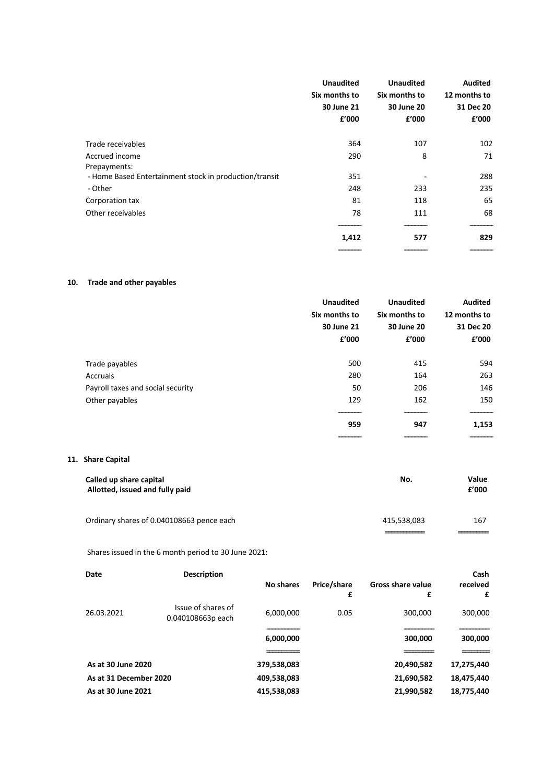|                                                        | <b>Unaudited</b><br>Six months to<br>30 June 21<br>f'000 | <b>Unaudited</b><br>Six months to<br>30 June 20<br>£'000 | <b>Audited</b><br>12 months to<br>31 Dec 20<br>f'000 |
|--------------------------------------------------------|----------------------------------------------------------|----------------------------------------------------------|------------------------------------------------------|
| Trade receivables                                      | 364                                                      | 107                                                      | 102                                                  |
| Accrued income<br>Prepayments:                         | 290                                                      | 8                                                        | 71                                                   |
| - Home Based Entertainment stock in production/transit | 351                                                      |                                                          | 288                                                  |
| - Other                                                | 248                                                      | 233                                                      | 235                                                  |
| Corporation tax                                        | 81                                                       | 118                                                      | 65                                                   |
| Other receivables                                      | 78                                                       | 111                                                      | 68                                                   |
|                                                        | 1,412                                                    | 577                                                      | 829                                                  |

## **10. Trade and other payables**

|                                   | <b>Unaudited</b><br>Six months to<br>30 June 21<br>f'000 | <b>Unaudited</b><br>Six months to<br>30 June 20<br>£'000 | <b>Audited</b><br>12 months to<br>31 Dec 20<br>£'000 |
|-----------------------------------|----------------------------------------------------------|----------------------------------------------------------|------------------------------------------------------|
|                                   |                                                          |                                                          |                                                      |
| Trade payables                    | 500                                                      | 415                                                      | 594                                                  |
| Accruals                          | 280                                                      | 164                                                      | 263                                                  |
| Payroll taxes and social security | 50                                                       | 206                                                      | 146                                                  |
| Other payables                    | 129                                                      | 162                                                      | 150                                                  |
|                                   | 959                                                      | 947                                                      | 1,153                                                |

### **11. Share Capital**

| Called up share capital<br>Allotted, issued and fully paid | No.         | Value<br>f'000 |
|------------------------------------------------------------|-------------|----------------|
| Ordinary shares of 0.040108663 pence each                  | 415,538,083 | 167            |

Shares issued in the 6 month period to 30 June 2021:

| Date                   | <b>Description</b>                      |             |                  |                               | Cash          |
|------------------------|-----------------------------------------|-------------|------------------|-------------------------------|---------------|
|                        |                                         | No shares   | Price/share<br>£ | <b>Gross share value</b><br>£ | received<br>£ |
| 26.03.2021             | Issue of shares of<br>0.040108663p each | 6,000,000   | 0.05             | 300,000                       | 300,000       |
|                        |                                         |             |                  |                               |               |
|                        |                                         | 6,000,000   |                  | 300,000                       | 300,000       |
|                        |                                         |             |                  |                               |               |
| As at 30 June 2020     |                                         | 379,538,083 |                  | 20,490,582                    | 17,275,440    |
| As at 31 December 2020 |                                         | 409,538,083 |                  | 21,690,582                    | 18,475,440    |
| As at 30 June 2021     |                                         | 415,538,083 |                  | 21,990,582                    | 18,775,440    |